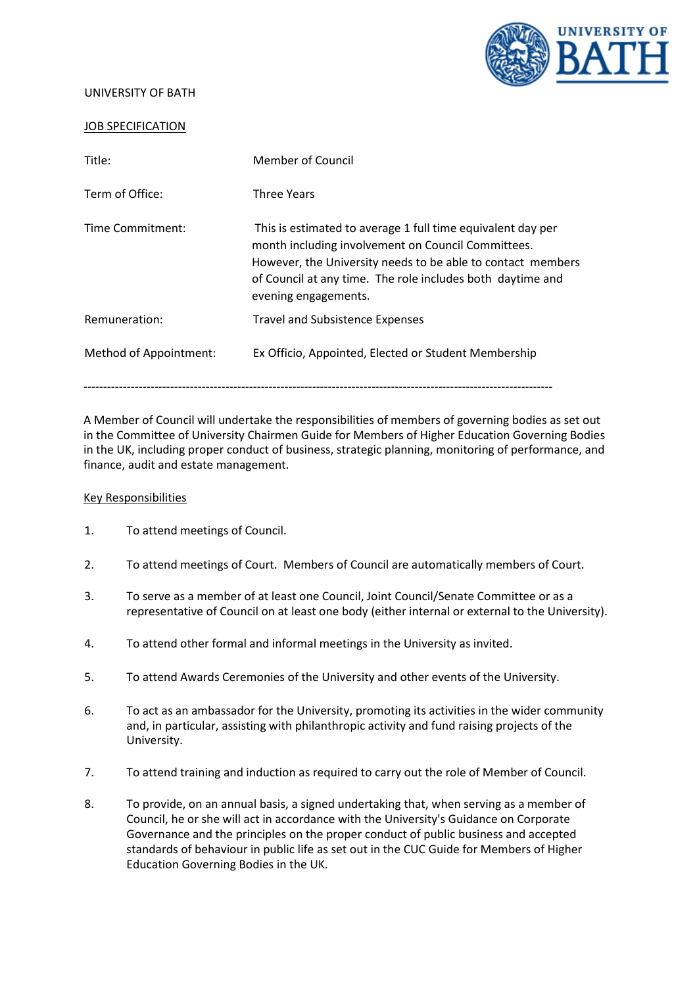UNIVERSITY OF BATH



## JOB SPECIFICATION

| Title:                 | Member of Council                                                                                                                                                                                                                                                      |
|------------------------|------------------------------------------------------------------------------------------------------------------------------------------------------------------------------------------------------------------------------------------------------------------------|
| Term of Office:        | <b>Three Years</b>                                                                                                                                                                                                                                                     |
| Time Commitment:       | This is estimated to average 1 full time equivalent day per<br>month including involvement on Council Committees.<br>However, the University needs to be able to contact members<br>of Council at any time. The role includes both daytime and<br>evening engagements. |
| Remuneration:          | <b>Travel and Subsistence Expenses</b>                                                                                                                                                                                                                                 |
| Method of Appointment: | Ex Officio, Appointed, Elected or Student Membership                                                                                                                                                                                                                   |

A Member of Council will undertake the responsibilities of members of governing bodies as set out in the Committee of University Chairmen Guide for Members of Higher Education Governing Bodies in the UK, including proper conduct of business, strategic planning, monitoring of performance, and finance, audit and estate management.

## Key Responsibilities

- 1. To attend meetings of Council.
- 2. To attend meetings of Court. Members of Council are automatically members of Court.
- 3. To serve as a member of at least one Council, Joint Council/Senate Committee or as a representative of Council on at least one body (either internal or external to the University).
- 4. To attend other formal and informal meetings in the University as invited.
- 5. To attend Awards Ceremonies of the University and other events of the University.
- 6. To act as an ambassador for the University, promoting its activities in the wider community and, in particular, assisting with philanthropic activity and fund raising projects of the University.
- 7. To attend training and induction as required to carry out the role of Member of Council.
- 8. To provide, on an annual basis, a signed undertaking that, when serving as a member of Council, he or she will act in accordance with the University's Guidance on Corporate Governance and the principles on the proper conduct of public business and accepted standards of behaviour in public life as set out in the CUC Guide for Members of Higher Education Governing Bodies in the UK.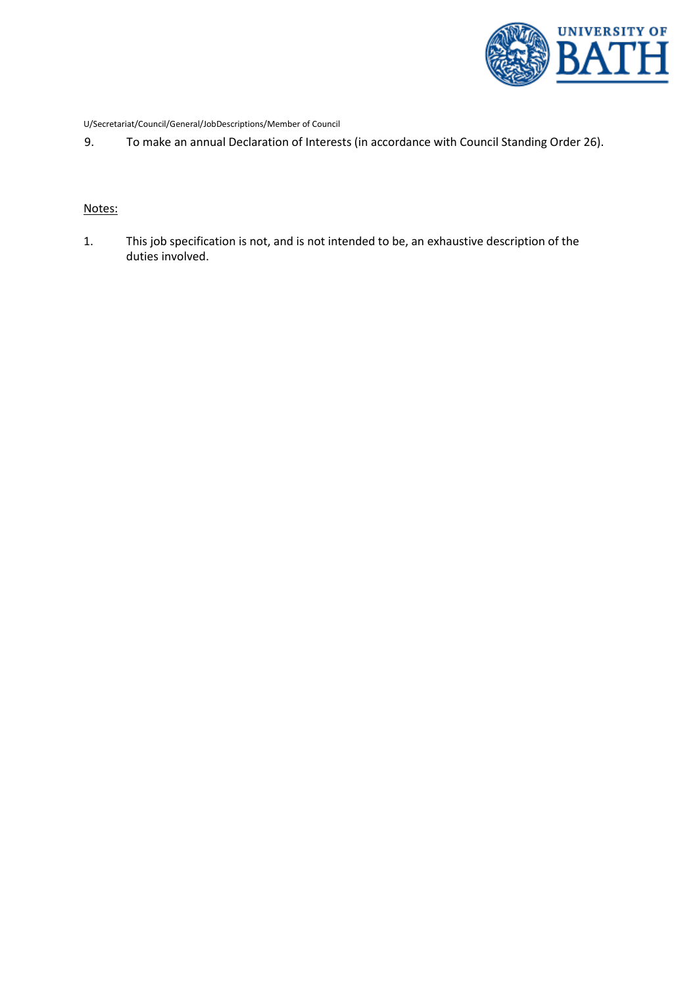

U/Secretariat/Council/General/JobDescriptions/Member of Council

9. To make an annual Declaration of Interests (in accordance with Council Standing Order 26).

## Notes:

1. This job specification is not, and is not intended to be, an exhaustive description of the duties involved.